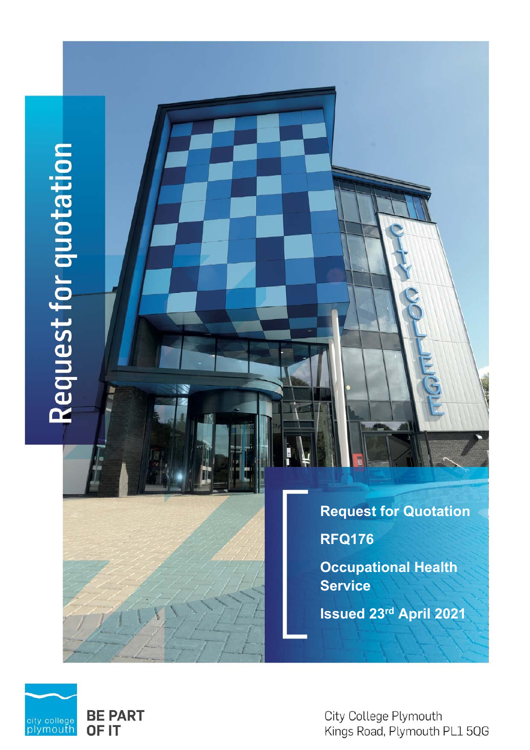# Request for quotation

**Request for Quotation RFQ176 Occupational Health Service Issued 23rd April 2021** 



City College Plymouth Kings Road, Plymouth PL1 5QG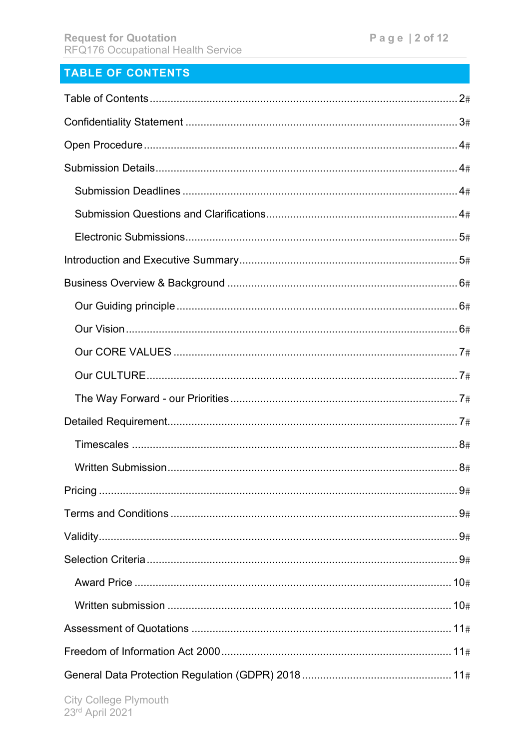# TABLE OF CONTENTS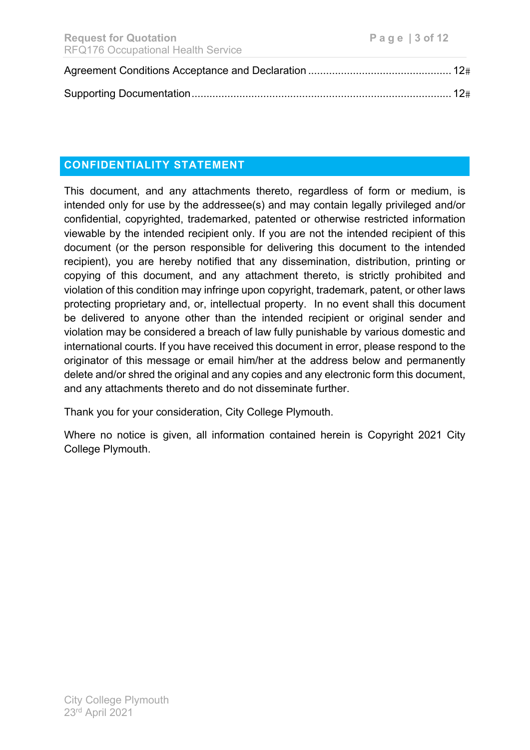# **CONFIDENTIALITY STATEMENT**

This document, and any attachments thereto, regardless of form or medium, is intended only for use by the addressee(s) and may contain legally privileged and/or confidential, copyrighted, trademarked, patented or otherwise restricted information viewable by the intended recipient only. If you are not the intended recipient of this document (or the person responsible for delivering this document to the intended recipient), you are hereby notified that any dissemination, distribution, printing or copying of this document, and any attachment thereto, is strictly prohibited and violation of this condition may infringe upon copyright, trademark, patent, or other laws protecting proprietary and, or, intellectual property. In no event shall this document be delivered to anyone other than the intended recipient or original sender and violation may be considered a breach of law fully punishable by various domestic and international courts. If you have received this document in error, please respond to the originator of this message or email him/her at the address below and permanently delete and/or shred the original and any copies and any electronic form this document, and any attachments thereto and do not disseminate further.

Thank you for your consideration, City College Plymouth.

Where no notice is given, all information contained herein is Copyright 2021 City College Plymouth.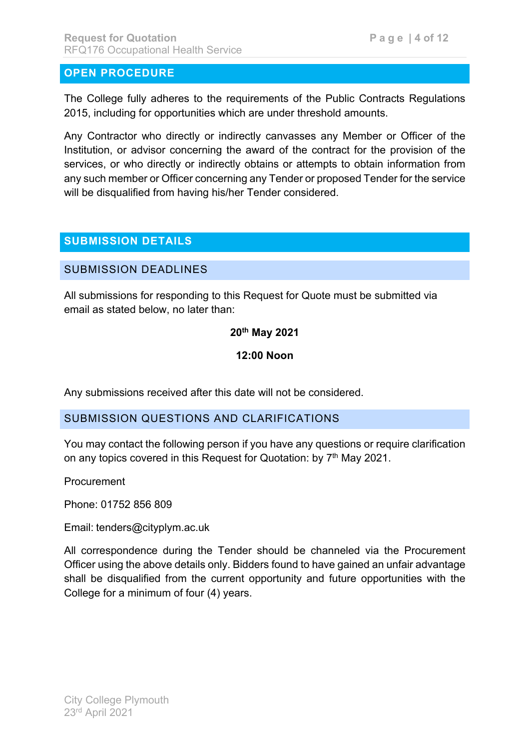# **OPEN PROCEDURE**

The College fully adheres to the requirements of the Public Contracts Regulations 2015, including for opportunities which are under threshold amounts.

Any Contractor who directly or indirectly canvasses any Member or Officer of the Institution, or advisor concerning the award of the contract for the provision of the services, or who directly or indirectly obtains or attempts to obtain information from any such member or Officer concerning any Tender or proposed Tender for the service will be disqualified from having his/her Tender considered.

# **SUBMISSION DETAILS**

### SUBMISSION DEADLINES

All submissions for responding to this Request for Quote must be submitted via email as stated below, no later than:

### **20th May 2021**

### **12:00 Noon**

Any submissions received after this date will not be considered.

### SUBMISSION QUESTIONS AND CLARIFICATIONS

You may contact the following person if you have any questions or require clarification on any topics covered in this Request for Quotation: by 7<sup>th</sup> May 2021.

**Procurement** 

Phone: 01752 856 809

Email: tenders@cityplym.ac.uk

All correspondence during the Tender should be channeled via the Procurement Officer using the above details only. Bidders found to have gained an unfair advantage shall be disqualified from the current opportunity and future opportunities with the College for a minimum of four (4) years.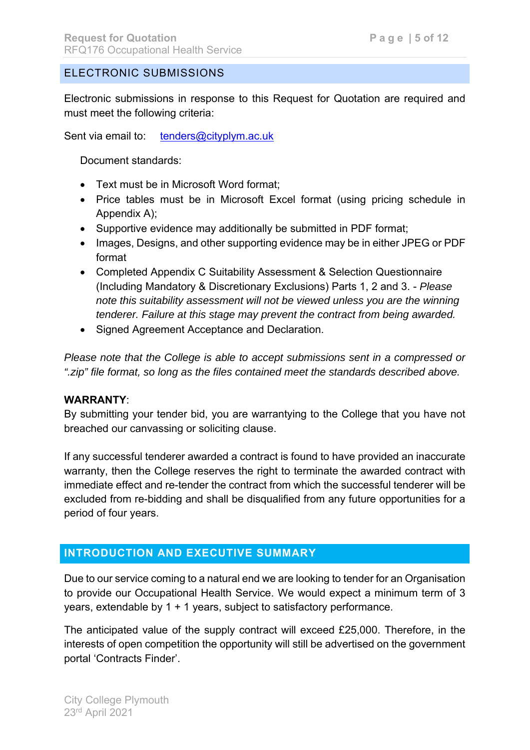# ELECTRONIC SUBMISSIONS

Electronic submissions in response to this Request for Quotation are required and must meet the following criteria:

Sent via email to: tenders@cityplym.ac.uk

Document standards:

- Text must be in Microsoft Word format;
- Price tables must be in Microsoft Excel format (using pricing schedule in Appendix A);
- Supportive evidence may additionally be submitted in PDF format;
- Images, Designs, and other supporting evidence may be in either JPEG or PDF format
- Completed Appendix C Suitability Assessment & Selection Questionnaire (Including Mandatory & Discretionary Exclusions) Parts 1, 2 and 3. - *Please note this suitability assessment will not be viewed unless you are the winning tenderer. Failure at this stage may prevent the contract from being awarded.*
- Signed Agreement Acceptance and Declaration.

*Please note that the College is able to accept submissions sent in a compressed or ".zip" file format, so long as the files contained meet the standards described above.* 

### **WARRANTY**:

By submitting your tender bid, you are warrantying to the College that you have not breached our canvassing or soliciting clause.

If any successful tenderer awarded a contract is found to have provided an inaccurate warranty, then the College reserves the right to terminate the awarded contract with immediate effect and re-tender the contract from which the successful tenderer will be excluded from re-bidding and shall be disqualified from any future opportunities for a period of four years.

# **INTRODUCTION AND EXECUTIVE SUMMARY**

Due to our service coming to a natural end we are looking to tender for an Organisation to provide our Occupational Health Service. We would expect a minimum term of 3 years, extendable by 1 + 1 years, subject to satisfactory performance.

The anticipated value of the supply contract will exceed £25,000. Therefore, in the interests of open competition the opportunity will still be advertised on the government portal 'Contracts Finder'.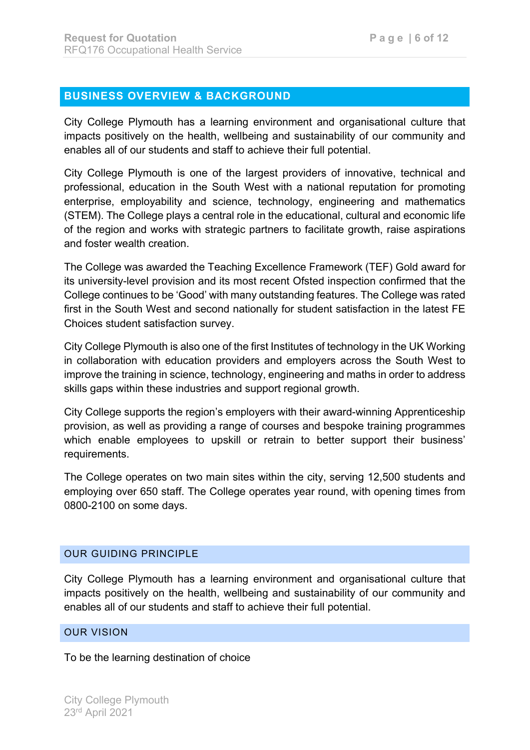# **BUSINESS OVERVIEW & BACKGROUND**

City College Plymouth has a learning environment and organisational culture that impacts positively on the health, wellbeing and sustainability of our community and enables all of our students and staff to achieve their full potential.

City College Plymouth is one of the largest providers of innovative, technical and professional, education in the South West with a national reputation for promoting enterprise, employability and science, technology, engineering and mathematics (STEM). The College plays a central role in the educational, cultural and economic life of the region and works with strategic partners to facilitate growth, raise aspirations and foster wealth creation.

The College was awarded the Teaching Excellence Framework (TEF) Gold award for its university-level provision and its most recent Ofsted inspection confirmed that the College continues to be 'Good' with many outstanding features. The College was rated first in the South West and second nationally for student satisfaction in the latest FE Choices student satisfaction survey.

City College Plymouth is also one of the first Institutes of technology in the UK Working in collaboration with education providers and employers across the South West to improve the training in science, technology, engineering and maths in order to address skills gaps within these industries and support regional growth.

City College supports the region's employers with their award-winning Apprenticeship provision, as well as providing a range of courses and bespoke training programmes which enable employees to upskill or retrain to better support their business' requirements.

The College operates on two main sites within the city, serving 12,500 students and employing over 650 staff. The College operates year round, with opening times from 0800-2100 on some days.

### OUR GUIDING PRINCIPLE

City College Plymouth has a learning environment and organisational culture that impacts positively on the health, wellbeing and sustainability of our community and enables all of our students and staff to achieve their full potential.

### OUR VISION

To be the learning destination of choice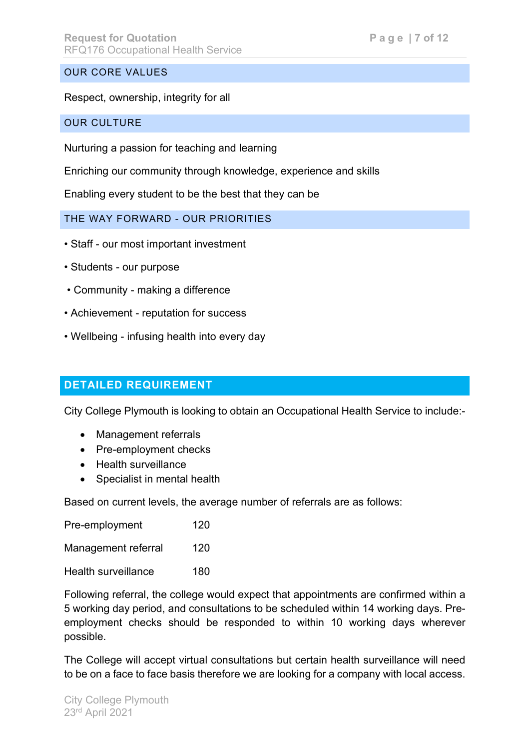### OUR CORE VALUES

Respect, ownership, integrity for all

OUR CULTURE

Nurturing a passion for teaching and learning

Enriching our community through knowledge, experience and skills

Enabling every student to be the best that they can be

THE WAY FORWARD - OUR PRIORITIES

- Staff our most important investment
- Students our purpose
- Community making a difference
- Achievement reputation for success
- Wellbeing infusing health into every day

# **DETAILED REQUIREMENT**

City College Plymouth is looking to obtain an Occupational Health Service to include:-

- Management referrals
- Pre-employment checks
- Health surveillance
- Specialist in mental health

Based on current levels, the average number of referrals are as follows:

| Pre-employment             | 120 |
|----------------------------|-----|
| Management referral        | 120 |
| <b>Health surveillance</b> | 180 |

Following referral, the college would expect that appointments are confirmed within a 5 working day period, and consultations to be scheduled within 14 working days. Preemployment checks should be responded to within 10 working days wherever possible.

The College will accept virtual consultations but certain health surveillance will need to be on a face to face basis therefore we are looking for a company with local access.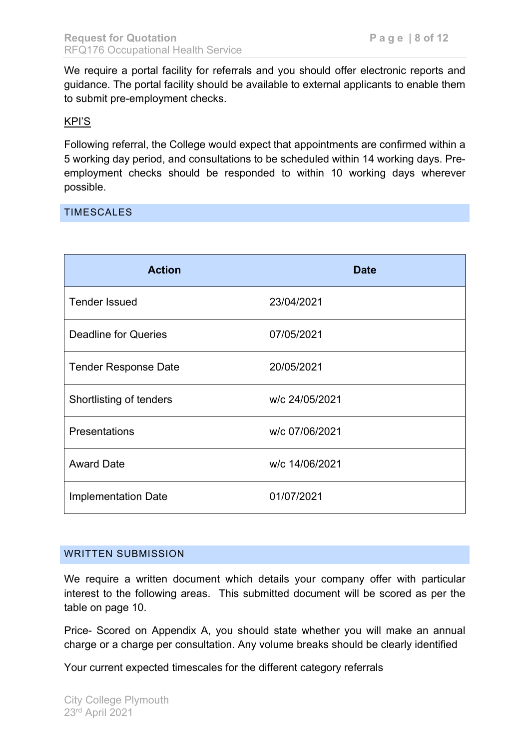We require a portal facility for referrals and you should offer electronic reports and guidance. The portal facility should be available to external applicants to enable them to submit pre-employment checks.

### KPI'S

Following referral, the College would expect that appointments are confirmed within a 5 working day period, and consultations to be scheduled within 14 working days. Preemployment checks should be responded to within 10 working days wherever possible.

### TIMESCALES

| <b>Action</b>               | <b>Date</b>    |
|-----------------------------|----------------|
| <b>Tender Issued</b>        | 23/04/2021     |
| <b>Deadline for Queries</b> | 07/05/2021     |
| <b>Tender Response Date</b> | 20/05/2021     |
| Shortlisting of tenders     | w/c 24/05/2021 |
| <b>Presentations</b>        | w/c 07/06/2021 |
| <b>Award Date</b>           | w/c 14/06/2021 |
| <b>Implementation Date</b>  | 01/07/2021     |

### WRITTEN SUBMISSION

We require a written document which details your company offer with particular interest to the following areas. This submitted document will be scored as per the table on page 10.

Price- Scored on Appendix A, you should state whether you will make an annual charge or a charge per consultation. Any volume breaks should be clearly identified

Your current expected timescales for the different category referrals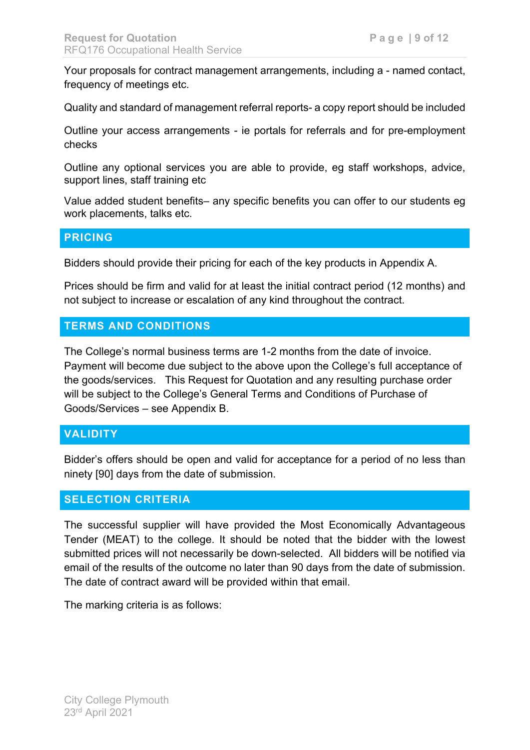Your proposals for contract management arrangements, including a - named contact, frequency of meetings etc.

Quality and standard of management referral reports- a copy report should be included

Outline your access arrangements - ie portals for referrals and for pre-employment checks

Outline any optional services you are able to provide, eg staff workshops, advice, support lines, staff training etc

Value added student benefits– any specific benefits you can offer to our students eg work placements, talks etc.

### **PRICING**

Bidders should provide their pricing for each of the key products in Appendix A.

Prices should be firm and valid for at least the initial contract period (12 months) and not subject to increase or escalation of any kind throughout the contract.

### **TERMS AND CONDITIONS**

The College's normal business terms are 1-2 months from the date of invoice. Payment will become due subject to the above upon the College's full acceptance of the goods/services. This Request for Quotation and any resulting purchase order will be subject to the College's General Terms and Conditions of Purchase of Goods/Services – see Appendix B.

# **VALIDITY**

Bidder's offers should be open and valid for acceptance for a period of no less than ninety [90] days from the date of submission.

### **SELECTION CRITERIA**

The successful supplier will have provided the Most Economically Advantageous Tender (MEAT) to the college. It should be noted that the bidder with the lowest submitted prices will not necessarily be down-selected. All bidders will be notified via email of the results of the outcome no later than 90 days from the date of submission. The date of contract award will be provided within that email.

The marking criteria is as follows: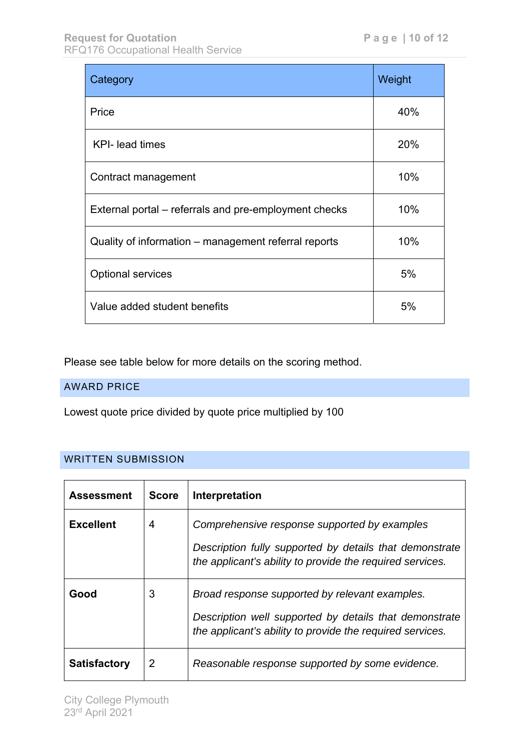| Category                                              | Weight |
|-------------------------------------------------------|--------|
| Price                                                 | 40%    |
| <b>KPI-</b> lead times                                | 20%    |
| Contract management                                   | 10%    |
| External portal – referrals and pre-employment checks | 10%    |
| Quality of information – management referral reports  | 10%    |
| <b>Optional services</b>                              | 5%     |
| Value added student benefits                          | 5%     |

Please see table below for more details on the scoring method.

### AWARD PRICE

Lowest quote price divided by quote price multiplied by 100

### WRITTEN SUBMISSION

| Assessment          | <b>Score</b>   | Interpretation                                                                                                                                                        |
|---------------------|----------------|-----------------------------------------------------------------------------------------------------------------------------------------------------------------------|
| <b>Excellent</b>    | $\overline{4}$ | Comprehensive response supported by examples<br>Description fully supported by details that demonstrate<br>the applicant's ability to provide the required services.  |
| Good                | 3              | Broad response supported by relevant examples.<br>Description well supported by details that demonstrate<br>the applicant's ability to provide the required services. |
| <b>Satisfactory</b> | 2              | Reasonable response supported by some evidence.                                                                                                                       |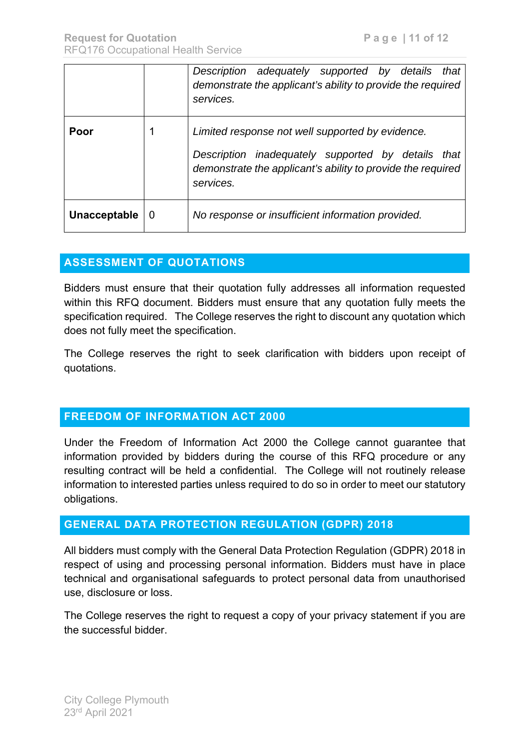|              |   | Description adequately supported by details<br>that<br>demonstrate the applicant's ability to provide the required<br>services.                                                       |
|--------------|---|---------------------------------------------------------------------------------------------------------------------------------------------------------------------------------------|
| Poor         |   | Limited response not well supported by evidence.<br>Description inadequately supported by details<br>that<br>demonstrate the applicant's ability to provide the required<br>services. |
| Unacceptable | 0 | No response or insufficient information provided.                                                                                                                                     |

# **ASSESSMENT OF QUOTATIONS**

Bidders must ensure that their quotation fully addresses all information requested within this RFQ document. Bidders must ensure that any quotation fully meets the specification required. The College reserves the right to discount any quotation which does not fully meet the specification.

The College reserves the right to seek clarification with bidders upon receipt of quotations.

# **FREEDOM OF INFORMATION ACT 2000**

Under the Freedom of Information Act 2000 the College cannot guarantee that information provided by bidders during the course of this RFQ procedure or any resulting contract will be held a confidential. The College will not routinely release information to interested parties unless required to do so in order to meet our statutory obligations.

# **GENERAL DATA PROTECTION REGULATION (GDPR) 2018**

All bidders must comply with the General Data Protection Regulation (GDPR) 2018 in respect of using and processing personal information. Bidders must have in place technical and organisational safeguards to protect personal data from unauthorised use, disclosure or loss.

The College reserves the right to request a copy of your privacy statement if you are the successful bidder.